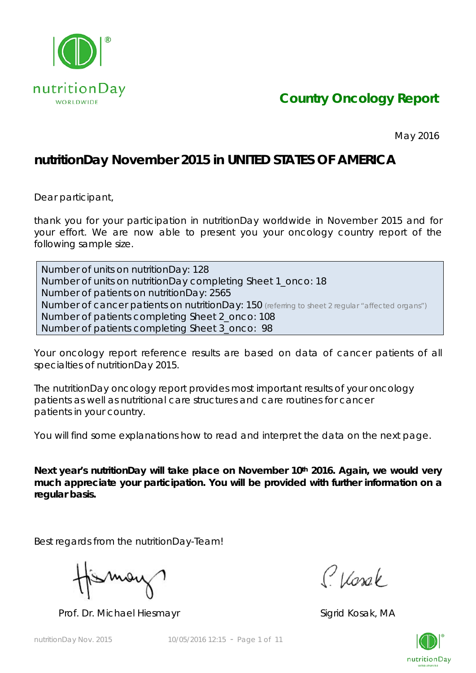

## *Country Oncology Report*

May 2016

## **nutritionDay November 2015 in UNITED STATES OF AMERICA**

Dear participant,

thank you for your participation in nutritionDay worldwide in November 2015 and for your effort. We are now able to present you your oncology country report of the following sample size.

Number of units on nutritionDay: 128 Number of units on nutritionDay completing Sheet 1\_onco: 18 Number of patients on nutritionDay: 2565 Number of cancer patients on nutritionDay: 150 *(referring to sheet 2 regular "affected organs")* Number of patients completing Sheet 2\_onco: 108 Number of patients completing Sheet 3\_onco: 98

Your oncology report reference results are based on data of cancer patients of all specialties of nutritionDay 2015.

The nutritionDay oncology report provides most important results of your oncology patients as well as nutritional care structures and care routines for cancer patients in your country.

You will find some explanations how to read and interpret the data on the next page.

Next year's nutritionDay will take place on November 10<sup>th</sup> 2016. Again, we would very **much appreciate your participation. You will be provided with further information on a regular basis.** 

Best regards from the nutritionDay-Team!

Mor

Prof. Dr. Michael Hiesmayr Sigrid Kosak, MA

Classe

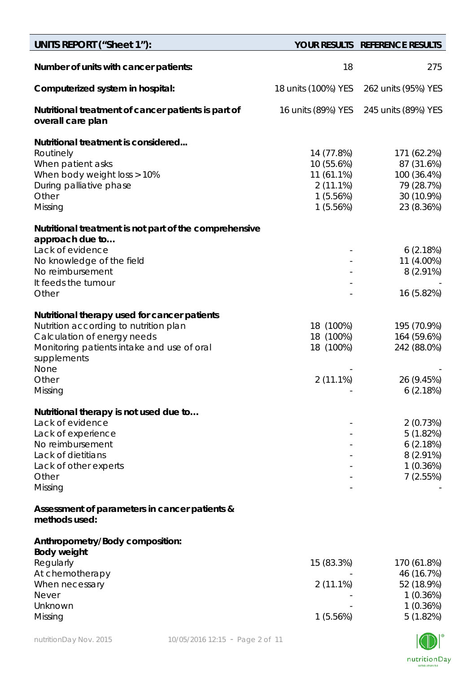| UNITS REPORT ("Sheet 1"):                                                                                                                                                                          |                                                                               | YOUR RESULTS REFERENCE RESULTS                                                     |
|----------------------------------------------------------------------------------------------------------------------------------------------------------------------------------------------------|-------------------------------------------------------------------------------|------------------------------------------------------------------------------------|
| Number of units with cancer patients:                                                                                                                                                              | 18                                                                            | 275                                                                                |
| Computerized system in hospital:                                                                                                                                                                   | 18 units (100%) YES                                                           | 262 units (95%) YES                                                                |
| Nutritional treatment of cancer patients is part of<br>overall care plan                                                                                                                           | 16 units (89%) YES                                                            | 245 units (89%) YES                                                                |
| Nutritional treatment is considered<br>Routinely<br>When patient asks<br>When body weight loss > 10%<br>During palliative phase<br>Other<br>Missing                                                | 14 (77.8%)<br>10 (55.6%)<br>11 (61.1%)<br>$2(11.1\%)$<br>1(5.56%)<br>1(5.56%) | 171 (62.2%)<br>87 (31.6%)<br>100 (36.4%)<br>79 (28.7%)<br>30 (10.9%)<br>23 (8.36%) |
| Nutritional treatment is not part of the comprehensive<br>approach due to                                                                                                                          |                                                                               |                                                                                    |
| Lack of evidence<br>No knowledge of the field<br>No reimbursement<br>It feeds the tumour                                                                                                           |                                                                               | 6(2.18%)<br>11 (4.00%)<br>$8(2.91\%)$                                              |
| Other                                                                                                                                                                                              |                                                                               | 16 (5.82%)                                                                         |
| Nutritional therapy used for cancer patients<br>Nutrition according to nutrition plan<br>Calculation of energy needs<br>Monitoring patients intake and use of oral<br>supplements<br>None<br>Other | 18 (100%)<br>18 (100%)<br>18 (100%)<br>$2(11.1\%)$                            | 195 (70.9%)<br>164 (59.6%)<br>242 (88.0%)<br>26 (9.45%)                            |
| Missing                                                                                                                                                                                            |                                                                               | 6(2.18%)                                                                           |
| Nutritional therapy is not used due to<br>Lack of evidence<br>Lack of experience<br>No reimbursement<br>Lack of dietitians<br>Lack of other experts<br>Other<br>Missing                            |                                                                               | 2(0.73%)<br>5(1.82%)<br>6(2.18%)<br>$8(2.91\%)$<br>$1(0.36\%)$<br>7(2.55%)         |
| Assessment of parameters in cancer patients &<br>methods used:                                                                                                                                     |                                                                               |                                                                                    |
| Anthropometry/Body composition:<br><b>Body weight</b><br>Regularly                                                                                                                                 | 15 (83.3%)                                                                    | 170 (61.8%)                                                                        |
| At chemotherapy<br>When necessary<br><b>Never</b>                                                                                                                                                  | 2 (11.1%)                                                                     | 46 (16.7%)<br>52 (18.9%)<br>1(0.36%)                                               |
| Unknown<br>Missing                                                                                                                                                                                 | 1(5.56%)                                                                      | 1(0.36%)<br>5(1.82%)                                                               |

nutritionDay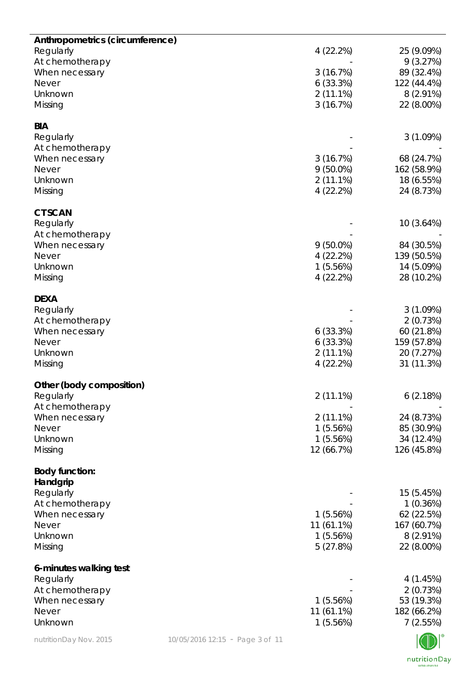| Anthropometrics (circumference) |                                 |             |             |
|---------------------------------|---------------------------------|-------------|-------------|
| Regularly                       |                                 | 4(22.2%)    | 25 (9.09%)  |
| At chemotherapy                 |                                 |             | 9(3.27%)    |
| When necessary                  |                                 | 3(16.7%)    | 89 (32.4%)  |
| <b>Never</b>                    |                                 | 6(33.3%)    | 122 (44.4%) |
| Unknown                         |                                 | $2(11.1\%)$ | $8(2.91\%)$ |
| Missing                         |                                 | 3(16.7%)    | 22 (8.00%)  |
|                                 |                                 |             |             |
| <b>BIA</b>                      |                                 |             |             |
| Regularly                       |                                 |             | 3(1.09%)    |
| At chemotherapy                 |                                 |             |             |
| When necessary                  |                                 | 3(16.7%)    | 68 (24.7%)  |
| <b>Never</b>                    |                                 | $9(50.0\%)$ | 162 (58.9%) |
| Unknown                         |                                 | $2(11.1\%)$ | 18 (6.55%)  |
| Missing                         |                                 | 4(22.2%)    | 24 (8.73%)  |
|                                 |                                 |             |             |
| <b>CT SCAN</b>                  |                                 |             |             |
| Regularly                       |                                 |             | 10 (3.64%)  |
| At chemotherapy                 |                                 |             |             |
| When necessary                  |                                 | $9(50.0\%)$ | 84 (30.5%)  |
| <b>Never</b>                    |                                 | 4 (22.2%)   | 139 (50.5%) |
| Unknown                         |                                 | 1(5.56%)    | 14 (5.09%)  |
| Missing                         |                                 | 4(22.2%)    | 28 (10.2%)  |
|                                 |                                 |             |             |
| <b>DEXA</b>                     |                                 |             |             |
| Regularly                       |                                 |             | 3(1.09%)    |
| At chemotherapy                 |                                 |             | 2(0.73%)    |
| When necessary                  |                                 | 6(33.3%)    | 60 (21.8%)  |
| <b>Never</b>                    |                                 | 6(33.3%)    | 159 (57.8%) |
| Unknown                         |                                 | $2(11.1\%)$ | 20 (7.27%)  |
| Missing                         |                                 | 4(22.2%)    | 31 (11.3%)  |
| Other (body composition)        |                                 |             |             |
| Regularly                       |                                 | $2(11.1\%)$ | 6(2.18%)    |
| At chemotherapy                 |                                 |             |             |
| When necessary                  |                                 | $2(11.1\%)$ | 24 (8.73%)  |
| <b>Never</b>                    |                                 | 1(5.56%)    | 85 (30.9%)  |
| Unknown                         |                                 | 1(5.56%)    | 34 (12.4%)  |
| Missing                         |                                 | 12 (66.7%)  | 126 (45.8%) |
|                                 |                                 |             |             |
| <b>Body function:</b>           |                                 |             |             |
| Handgrip                        |                                 |             |             |
| Regularly                       |                                 |             | 15 (5.45%)  |
| At chemotherapy                 |                                 |             | 1(0.36%)    |
| When necessary                  |                                 | 1(5.56%)    | 62 (22.5%)  |
| <b>Never</b>                    |                                 | 11 (61.1%)  | 167 (60.7%) |
| Unknown                         |                                 | 1(5.56%)    | $8(2.91\%)$ |
| Missing                         |                                 | 5(27.8%)    | 22 (8.00%)  |
|                                 |                                 |             |             |
| 6-minutes walking test          |                                 |             |             |
| Regularly                       |                                 |             | 4(1.45%)    |
| At chemotherapy                 |                                 |             | 2(0.73%)    |
| When necessary                  |                                 | 1(5.56%)    | 53 (19.3%)  |
| <b>Never</b>                    |                                 | 11 (61.1%)  | 182 (66.2%) |
| Unknown                         |                                 | 1(5.56%)    | 7(2.55%)    |
| nutritionDay Nov. 2015          | 10/05/2016 12:15 - Page 3 of 11 |             |             |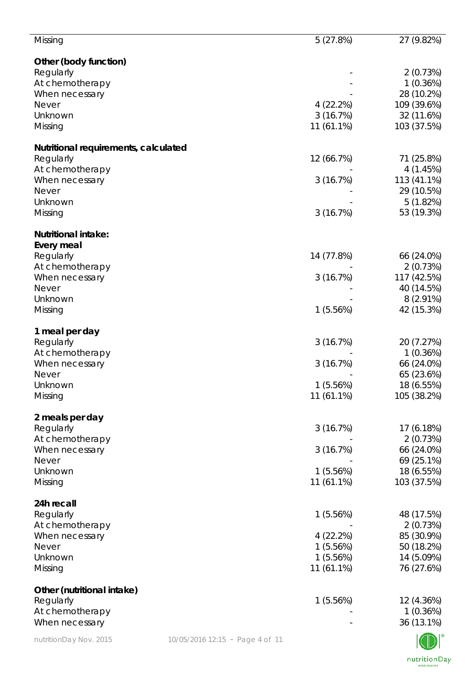| Missing                              |                                 | 5(27.8%)     | 27 (9.82%)  |
|--------------------------------------|---------------------------------|--------------|-------------|
| Other (body function)                |                                 |              |             |
| Regularly                            |                                 |              | 2(0.73%)    |
| At chemotherapy                      |                                 |              | 1(0.36%)    |
| When necessary                       |                                 |              | 28 (10.2%)  |
| <b>Never</b>                         |                                 | 4(22.2%)     | 109 (39.6%) |
| Unknown                              |                                 | 3(16.7%)     | 32 (11.6%)  |
| Missing                              |                                 | 11 (61.1%)   | 103 (37.5%) |
| Nutritional requirements, calculated |                                 |              |             |
| Regularly                            |                                 | 12 (66.7%)   | 71 (25.8%)  |
| At chemotherapy                      |                                 |              | 4(1.45%)    |
| When necessary                       |                                 | 3(16.7%)     | 113 (41.1%) |
| <b>Never</b>                         |                                 |              | 29 (10.5%)  |
| Unknown                              |                                 |              | 5(1.82%)    |
| Missing                              |                                 | 3(16.7%)     | 53 (19.3%)  |
| <b>Nutritional intake:</b>           |                                 |              |             |
| Every meal                           |                                 |              |             |
| Regularly                            |                                 | 14 (77.8%)   | 66 (24.0%)  |
| At chemotherapy                      |                                 |              | 2(0.73%)    |
| When necessary                       |                                 | 3(16.7%)     | 117 (42.5%) |
| <b>Never</b>                         |                                 |              | 40 (14.5%)  |
| Unknown                              |                                 |              | $8(2.91\%)$ |
| Missing                              |                                 | 1(5.56%)     | 42 (15.3%)  |
|                                      |                                 |              |             |
| 1 meal per day                       |                                 |              |             |
| Regularly                            |                                 | 3(16.7%)     | 20 (7.27%)  |
| At chemotherapy                      |                                 |              | 1(0.36%)    |
| When necessary                       |                                 | 3(16.7%)     | 66 (24.0%)  |
| <b>Never</b>                         |                                 |              | 65 (23.6%)  |
| Unknown                              |                                 | 1(5.56%)     | 18 (6.55%)  |
| Missing                              |                                 | 11 (61.1%)   | 105 (38.2%) |
| 2 meals per day                      |                                 |              |             |
| Regularly                            |                                 | 3(16.7%)     | 17 (6.18%)  |
| At chemotherapy                      |                                 |              | 2(0.73%)    |
| When necessary                       |                                 | 3(16.7%)     | 66 (24.0%)  |
| <b>Never</b>                         |                                 |              | 69 (25.1%)  |
| Unknown                              |                                 | 1(5.56%)     | 18 (6.55%)  |
| Missing                              |                                 | 11 (61.1%)   | 103 (37.5%) |
| 24h recall                           |                                 |              |             |
| Regularly                            |                                 | 1(5.56%)     | 48 (17.5%)  |
| At chemotherapy                      |                                 |              | 2(0.73%)    |
| When necessary                       |                                 | 4(22.2%)     | 85 (30.9%)  |
| <b>Never</b>                         |                                 | 1(5.56%)     | 50 (18.2%)  |
| Unknown                              |                                 | 1(5.56%)     | 14 (5.09%)  |
| Missing                              |                                 | $11(61.1\%)$ | 76 (27.6%)  |
| Other (nutritional intake)           |                                 |              |             |
| Regularly                            |                                 | 1(5.56%)     | 12 (4.36%)  |
| At chemotherapy                      |                                 |              | 1(0.36%)    |
| When necessary                       |                                 |              | 36 (13.1%)  |
| nutritionDay Nov. 2015               | 10/05/2016 12:15 - Page 4 of 11 |              |             |
|                                      |                                 |              |             |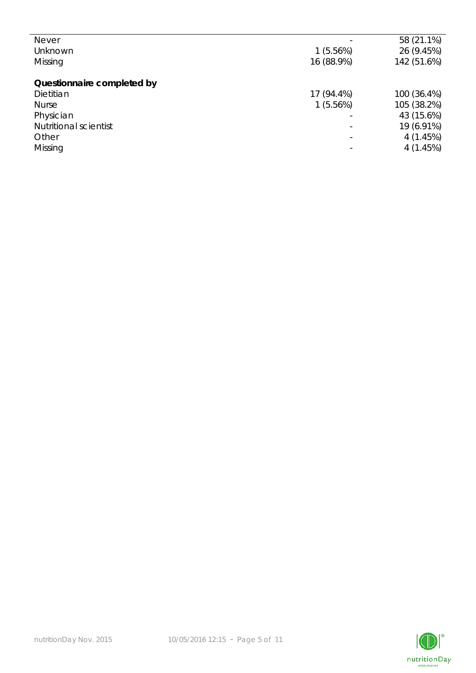| <b>Never</b>                 |            | 58 (21.1%)  |
|------------------------------|------------|-------------|
| Unknown                      | 1(5.56%)   | 26 (9.45%)  |
| Missing                      | 16 (88.9%) | 142 (51.6%) |
|                              |            |             |
| Questionnaire completed by   |            |             |
| Dietitian                    | 17 (94.4%) | 100 (36.4%) |
| <b>Nurse</b>                 | 1(5.56%)   | 105 (38.2%) |
| Physician                    |            | 43 (15.6%)  |
| <b>Nutritional scientist</b> | ۳          | 19 (6.91%)  |
| Other                        |            | 4(1.45%)    |
| Missing                      |            | 4(1.45%)    |
|                              |            |             |

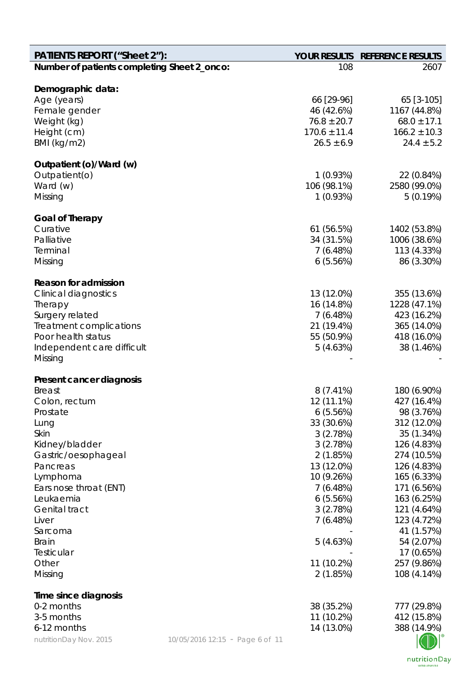| <b>PATIENTS REPORT ("Sheet 2"):</b>         |                                 | <b>YOUR RESULTS</b>           | <b>REFERENCE RESULTS</b>        |
|---------------------------------------------|---------------------------------|-------------------------------|---------------------------------|
| Number of patients completing Sheet 2_onco: |                                 | 108                           | 2607                            |
|                                             |                                 |                               |                                 |
| Demographic data:                           |                                 |                               |                                 |
| Age (years)                                 |                                 | 66 [29-96]                    | 65 [3-105]                      |
| Female gender                               |                                 | 46 (42.6%)<br>$76.8 \pm 20.7$ | 1167 (44.8%)<br>$68.0 \pm 17.1$ |
| Weight (kg)                                 |                                 | $170.6 \pm 11.4$              | $166.2 \pm 10.3$                |
| Height (cm)<br>BMI (kg/m2)                  |                                 | $26.5 \pm 6.9$                | $24.4 \pm 5.2$                  |
|                                             |                                 |                               |                                 |
| Outpatient (o)/Ward (w)                     |                                 |                               |                                 |
| Outpatient(o)                               |                                 | 1(0.93%)                      | 22 (0.84%)                      |
| Ward (w)                                    |                                 | 106 (98.1%)                   | 2580 (99.0%)                    |
| Missing                                     |                                 | 1(0.93%)                      | 5(0.19%)                        |
|                                             |                                 |                               |                                 |
| <b>Goal of Therapy</b><br>Curative          |                                 | 61 (56.5%)                    | 1402 (53.8%)                    |
| Palliative                                  |                                 | 34 (31.5%)                    | 1006 (38.6%)                    |
| Terminal                                    |                                 | 7(6.48%)                      | 113 (4.33%)                     |
| Missing                                     |                                 | 6(5.56%)                      | 86 (3.30%)                      |
|                                             |                                 |                               |                                 |
| <b>Reason for admission</b>                 |                                 |                               |                                 |
| <b>Clinical diagnostics</b>                 |                                 | 13 (12.0%)                    | 355 (13.6%)                     |
| Therapy                                     |                                 | 16 (14.8%)                    | 1228 (47.1%)                    |
| Surgery related                             |                                 | 7(6.48%)                      | 423 (16.2%)                     |
| Treatment complications                     |                                 | 21 (19.4%)                    | 365 (14.0%)                     |
| Poor health status                          |                                 | 55 (50.9%)                    | 418 (16.0%)                     |
| Independent care difficult                  |                                 | 5(4.63%)                      | 38 (1.46%)                      |
| Missing                                     |                                 |                               |                                 |
| Present cancer diagnosis                    |                                 |                               |                                 |
| <b>Breast</b>                               |                                 | $8(7.41\%)$                   | 180 (6.90%)                     |
| Colon, rectum                               |                                 | 12 (11.1%)                    | 427 (16.4%)                     |
| Prostate                                    |                                 | 6(5.56%)                      | 98 (3.76%)                      |
| Lung                                        |                                 | 33 (30.6%)                    | 312 (12.0%)                     |
| Skin                                        |                                 | 3(2.78%)                      | 35 (1.34%)                      |
| Kidney/bladder                              |                                 | 3(2.78%)                      | 126 (4.83%)                     |
| Gastric/oesophageal                         |                                 | 2(1.85%)                      | 274 (10.5%)                     |
| Pancreas                                    |                                 | 13 (12.0%)                    | 126 (4.83%)                     |
| Lymphoma                                    |                                 | 10 (9.26%)                    | 165 (6.33%)                     |
| Ears nose throat (ENT)                      |                                 | 7(6.48%)                      | 171 (6.56%)                     |
| Leukaemia                                   |                                 | 6(5.56%)                      | 163 (6.25%)                     |
| Genital tract                               |                                 | 3(2.78%)                      | 121 (4.64%)                     |
| Liver                                       |                                 | 7(6.48%)                      | 123 (4.72%)                     |
| Sarcoma                                     |                                 |                               | 41 (1.57%)                      |
| <b>Brain</b>                                |                                 | 5(4.63%)                      | 54 (2.07%)                      |
| Testicular                                  |                                 |                               | 17 (0.65%)                      |
| Other                                       |                                 | 11 (10.2%)                    | 257 (9.86%)                     |
| Missing                                     |                                 | 2(1.85%)                      | 108 (4.14%)                     |
| Time since diagnosis                        |                                 |                               |                                 |
| 0-2 months                                  |                                 | 38 (35.2%)                    | 777 (29.8%)                     |
| 3-5 months                                  |                                 | 11 (10.2%)                    | 412 (15.8%)                     |
| 6-12 months                                 |                                 | 14 (13.0%)                    | 388 (14.9%)                     |
| nutritionDay Nov. 2015                      | 10/05/2016 12:15 - Page 6 of 11 |                               |                                 |

nutritionDay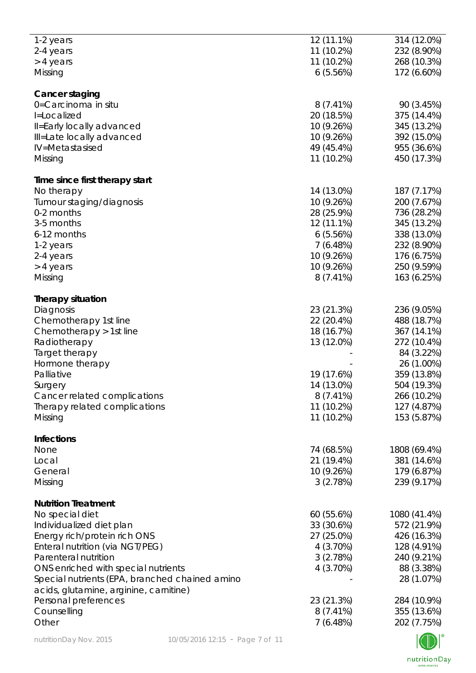| 1-2 years                                      | 12 (11.1%)  | 314 (12.0%)  |
|------------------------------------------------|-------------|--------------|
| 2-4 years                                      | 11 (10.2%)  | 232 (8.90%)  |
|                                                |             |              |
| > 4 years                                      | 11 (10.2%)  | 268 (10.3%)  |
| Missing                                        | 6(5.56%)    | 172 (6.60%)  |
| Cancer staging                                 |             |              |
| 0=Carcinoma in situ                            | $8(7.41\%)$ | 90 (3.45%)   |
|                                                |             |              |
| I=Localized                                    | 20 (18.5%)  | 375 (14.4%)  |
| Il=Early locally advanced                      | 10 (9.26%)  | 345 (13.2%)  |
| Ill=Late locally advanced                      | 10 (9.26%)  | 392 (15.0%)  |
| IV=Metastasised                                | 49 (45.4%)  | 955 (36.6%)  |
| Missing                                        | 11 (10.2%)  | 450 (17.3%)  |
|                                                |             |              |
| Time since first therapy start                 |             |              |
| No therapy                                     | 14 (13.0%)  | 187 (7.17%)  |
| Tumour staging/diagnosis                       | 10 (9.26%)  | 200 (7.67%)  |
| 0-2 months                                     | 28 (25.9%)  | 736 (28.2%)  |
| 3-5 months                                     | 12 (11.1%)  | 345 (13.2%)  |
| 6-12 months                                    | 6(5.56%)    | 338 (13.0%)  |
|                                                |             |              |
| 1-2 years                                      | 7(6.48%)    | 232 (8.90%)  |
| 2-4 years                                      | 10 (9.26%)  | 176 (6.75%)  |
| > 4 years                                      | 10 (9.26%)  | 250 (9.59%)  |
| Missing                                        | $8(7.41\%)$ | 163 (6.25%)  |
|                                                |             |              |
| <b>Therapy situation</b>                       |             |              |
| Diagnosis                                      | 23 (21.3%)  | 236 (9.05%)  |
| Chemotherapy 1st line                          | 22 (20.4%)  | 488 (18.7%)  |
| Chemotherapy > 1st line                        | 18 (16.7%)  | 367 (14.1%)  |
| Radiotherapy                                   | 13 (12.0%)  | 272 (10.4%)  |
| Target therapy                                 |             | 84 (3.22%)   |
|                                                |             |              |
| Hormone therapy                                |             | 26 (1.00%)   |
| Palliative                                     | 19 (17.6%)  | 359 (13.8%)  |
| Surgery                                        | 14 (13.0%)  | 504 (19.3%)  |
| Cancer related complications                   | $8(7.41\%)$ | 266 (10.2%)  |
| Therapy related complications                  | 11 (10.2%)  | 127 (4.87%)  |
| Missing                                        | 11 (10.2%)  | 153 (5.87%)  |
|                                                |             |              |
| <b>Infections</b>                              |             |              |
| None                                           | 74 (68.5%)  | 1808 (69.4%) |
| Local                                          | 21 (19.4%)  | 381 (14.6%)  |
| General                                        | 10 (9.26%)  | 179 (6.87%)  |
| Missing                                        | 3(2.78%)    | 239 (9.17%)  |
|                                                |             |              |
| <b>Nutrition Treatment</b>                     |             |              |
| No special diet                                | 60 (55.6%)  | 1080 (41.4%) |
| Individualized diet plan                       | 33 (30.6%)  | 572 (21.9%)  |
| Energy rich/protein rich ONS                   | 27 (25.0%)  | 426 (16.3%)  |
|                                                |             |              |
| Enteral nutrition (via NGT/PEG)                | 4(3.70%)    | 128 (4.91%)  |
| Parenteral nutrition                           | 3(2.78%)    | 240 (9.21%)  |
| ONS enriched with special nutrients            | 4 (3.70%)   | 88 (3.38%)   |
| Special nutrients (EPA, branched chained amino |             | 28 (1.07%)   |
| acids, glutamine, arginine, carnitine)         |             |              |
| Personal preferences                           | 23 (21.3%)  | 284 (10.9%)  |
|                                                |             |              |
| Counselling                                    | $8(7.41\%)$ | 355 (13.6%)  |
| Other                                          | 7(6.48%)    | 202 (7.75%)  |
|                                                |             |              |

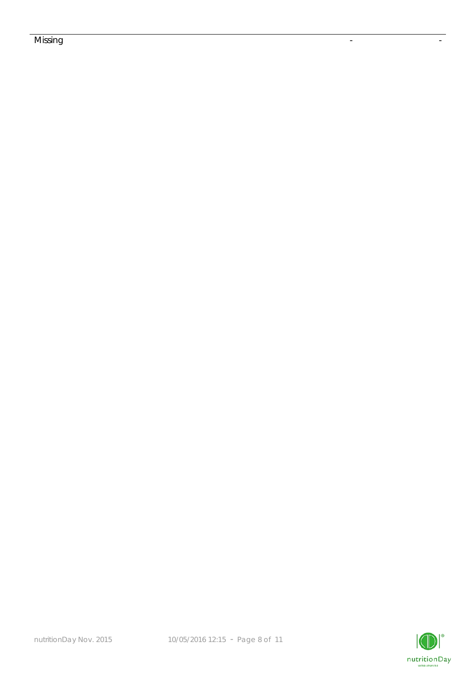## Missing the contract of the contract of the contract of the contract of the contract of the contract of the co

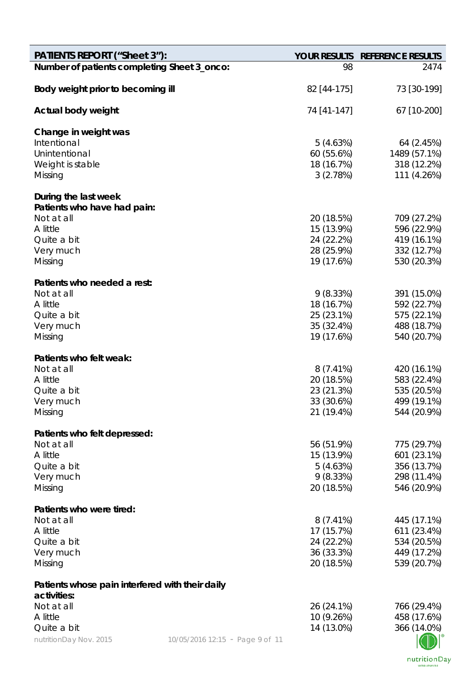| <b>PATIENTS REPORT ("Sheet 3"):</b>             |                                 |                           | YOUR RESULTS REFERENCE RESULTS |
|-------------------------------------------------|---------------------------------|---------------------------|--------------------------------|
| Number of patients completing Sheet 3_onco:     |                                 | 98                        | 2474                           |
| Body weight prior to becoming ill               |                                 | 82 [44-175]               | 73 [30-199]                    |
| Actual body weight                              |                                 | 74 [41-147]               | 67 [10-200]                    |
| Change in weight was                            |                                 |                           |                                |
| Intentional                                     |                                 | 5(4.63%)                  | 64 (2.45%)                     |
| Unintentional                                   |                                 | 60(55.6%)                 | 1489 (57.1%)                   |
| Weight is stable                                |                                 | 18 (16.7%)                | 318 (12.2%)                    |
| Missing                                         |                                 | 3(2.78%)                  | 111 (4.26%)                    |
| During the last week                            |                                 |                           |                                |
| Patients who have had pain:                     |                                 |                           |                                |
| Not at all                                      |                                 | 20 (18.5%)                | 709 (27.2%)                    |
| A little                                        |                                 | 15 (13.9%)                | 596 (22.9%)                    |
| Quite a bit                                     |                                 | 24 (22.2%)                | 419 (16.1%)                    |
| Very much                                       |                                 | 28 (25.9%)                | 332 (12.7%)                    |
| Missing                                         |                                 | 19 (17.6%)                | 530 (20.3%)                    |
| Patients who needed a rest:                     |                                 |                           |                                |
| Not at all                                      |                                 | 9(8.33%)                  | 391 (15.0%)                    |
| A little                                        |                                 | 18 (16.7%)                | 592 (22.7%)                    |
| Quite a bit                                     |                                 | 25 (23.1%)                | 575 (22.1%)                    |
| Very much                                       |                                 | 35 (32.4%)                | 488 (18.7%)                    |
| Missing                                         |                                 | 19 (17.6%)                | 540 (20.7%)                    |
| Patients who felt weak:                         |                                 |                           |                                |
| Not at all                                      |                                 | $8(7.41\%)$               | 420 (16.1%)                    |
| A little                                        |                                 | 20 (18.5%)                | 583 (22.4%)                    |
| Quite a bit                                     |                                 | 23 (21.3%)                | 535 (20.5%)                    |
| Very much                                       |                                 | 33 (30.6%)                | 499 (19.1%)                    |
| Missing                                         |                                 | 21 (19.4%)                | 544 (20.9%)                    |
| Patients who felt depressed:                    |                                 |                           |                                |
| Not at all                                      |                                 | 56 (51.9%)                | 775 (29.7%)                    |
| A little                                        |                                 | 15 (13.9%)                | 601 (23.1%)                    |
| Quite a bit                                     |                                 | 5(4.63%)                  | 356 (13.7%)                    |
| Very much                                       |                                 | 9(8.33%)                  | 298 (11.4%)                    |
| Missing                                         |                                 | 20 (18.5%)                | 546 (20.9%)                    |
|                                                 |                                 |                           |                                |
| Patients who were tired:<br>Not at all          |                                 |                           |                                |
| A little                                        |                                 | $8(7.41\%)$<br>17 (15.7%) | 445 (17.1%)<br>611 (23.4%)     |
| Quite a bit                                     |                                 | 24 (22.2%)                | 534 (20.5%)                    |
| Very much                                       |                                 | 36 (33.3%)                | 449 (17.2%)                    |
| Missing                                         |                                 | 20 (18.5%)                | 539 (20.7%)                    |
| Patients whose pain interfered with their daily |                                 |                           |                                |
| activities:                                     |                                 |                           |                                |
| Not at all                                      |                                 | 26 (24.1%)                | 766 (29.4%)                    |
| A little                                        |                                 | 10 (9.26%)                | 458 (17.6%)                    |
| Quite a bit                                     |                                 | 14 (13.0%)                | 366 (14.0%)                    |
| nutritionDay Nov. 2015                          | 10/05/2016 12:15 - Page 9 of 11 |                           |                                |

nutritionDay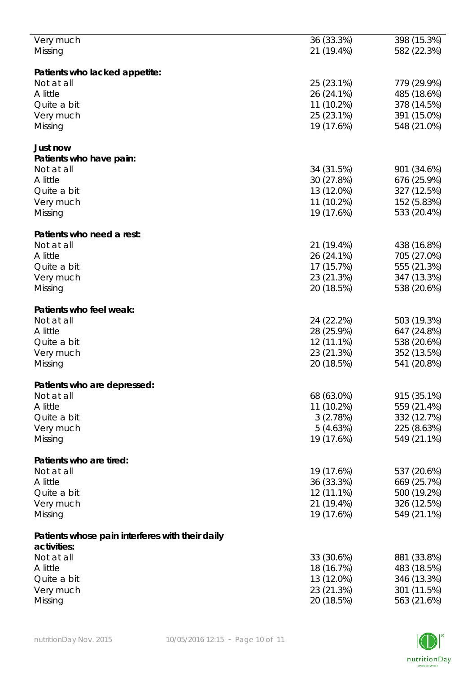| Very much                                       | 36 (33.3%)   | 398 (15.3%) |
|-------------------------------------------------|--------------|-------------|
|                                                 |              |             |
| Missing                                         | 21 (19.4%)   | 582 (22.3%) |
|                                                 |              |             |
| Patients who lacked appetite:                   |              |             |
|                                                 |              |             |
| Not at all                                      | 25 (23.1%)   | 779 (29.9%) |
| A little                                        | 26 (24.1%)   | 485 (18.6%) |
|                                                 |              |             |
| Quite a bit                                     | 11 (10.2%)   | 378 (14.5%) |
| Very much                                       | 25 (23.1%)   | 391 (15.0%) |
|                                                 |              |             |
| Missing                                         | 19 (17.6%)   | 548 (21.0%) |
|                                                 |              |             |
| Just now                                        |              |             |
|                                                 |              |             |
| Patients who have pain:                         |              |             |
| Not at all                                      | 34 (31.5%)   | 901 (34.6%) |
|                                                 |              |             |
| A little                                        | 30 (27.8%)   | 676 (25.9%) |
| Quite a bit                                     | 13 (12.0%)   | 327 (12.5%) |
|                                                 |              |             |
| Very much                                       | 11 (10.2%)   | 152 (5.83%) |
| Missing                                         | 19 (17.6%)   | 533 (20.4%) |
|                                                 |              |             |
|                                                 |              |             |
| Patients who need a rest:                       |              |             |
| Not at all                                      | 21 (19.4%)   | 438 (16.8%) |
|                                                 |              |             |
| A little                                        | 26 (24.1%)   | 705 (27.0%) |
| Quite a bit                                     | 17 (15.7%)   | 555 (21.3%) |
|                                                 |              |             |
| Very much                                       | 23 (21.3%)   | 347 (13.3%) |
| Missing                                         | 20 (18.5%)   | 538 (20.6%) |
|                                                 |              |             |
|                                                 |              |             |
| Patients who feel weak:                         |              |             |
| Not at all                                      | 24 (22.2%)   | 503 (19.3%) |
|                                                 |              |             |
| A little                                        | 28 (25.9%)   | 647 (24.8%) |
| Quite a bit                                     | 12 (11.1%)   | 538 (20.6%) |
|                                                 |              |             |
| Very much                                       | 23 (21.3%)   | 352 (13.5%) |
| Missing                                         | 20 (18.5%)   | 541 (20.8%) |
|                                                 |              |             |
|                                                 |              |             |
| Patients who are depressed:                     |              |             |
| Not at all                                      | 68 (63.0%)   | 915 (35.1%) |
|                                                 |              |             |
| A little                                        | 11 (10.2%)   | 559 (21.4%) |
| Quite a bit                                     | 3(2.78%)     | 332 (12.7%) |
|                                                 |              |             |
| Very much                                       | 5(4.63%)     | 225 (8.63%) |
| Missing                                         | 19 (17.6%)   | 549 (21.1%) |
|                                                 |              |             |
|                                                 |              |             |
| Patients who are tired:                         |              |             |
| Not at all                                      | 19 (17.6%)   |             |
|                                                 |              | 537 (20.6%) |
| A little                                        | 36 (33.3%)   | 669 (25.7%) |
| Quite a bit                                     | $12(11.1\%)$ | 500 (19.2%) |
|                                                 |              |             |
| Very much                                       | 21 (19.4%)   | 326 (12.5%) |
| Missing                                         | 19 (17.6%)   | 549 (21.1%) |
|                                                 |              |             |
|                                                 |              |             |
| Patients whose pain interferes with their daily |              |             |
|                                                 |              |             |
| activities:                                     |              |             |
| Not at all                                      | 33 (30.6%)   | 881 (33.8%) |
| A little                                        | 18 (16.7%)   | 483 (18.5%) |
|                                                 |              |             |
| Quite a bit                                     | 13 (12.0%)   | 346 (13.3%) |
| Very much                                       | 23 (21.3%)   | 301 (11.5%) |
|                                                 |              |             |
| Missing                                         | 20 (18.5%)   | 563 (21.6%) |